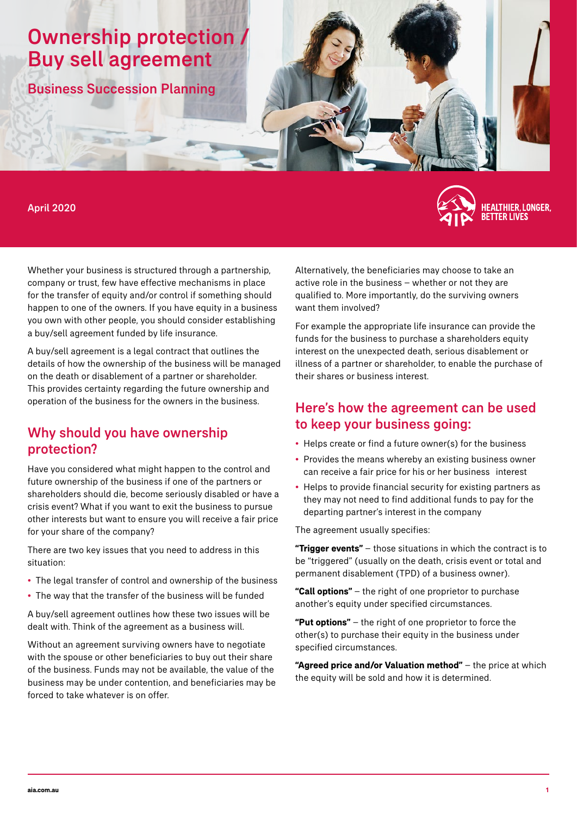# Ownership protection / Buy sell agreement

Business Succession Planning

#### April 2020



Whether your business is structured through a partnership, company or trust, few have effective mechanisms in place for the transfer of equity and/or control if something should happen to one of the owners. If you have equity in a business you own with other people, you should consider establishing a buy/sell agreement funded by life insurance.

A buy/sell agreement is a legal contract that outlines the details of how the ownership of the business will be managed on the death or disablement of a partner or shareholder. This provides certainty regarding the future ownership and operation of the business for the owners in the business.

### Why should you have ownership protection?

Have you considered what might happen to the control and future ownership of the business if one of the partners or shareholders should die, become seriously disabled or have a crisis event? What if you want to exit the business to pursue other interests but want to ensure you will receive a fair price for your share of the company?

There are two key issues that you need to address in this situation:

- The legal transfer of control and ownership of the business
- The way that the transfer of the business will be funded

A buy/sell agreement outlines how these two issues will be dealt with. Think of the agreement as a business will.

Without an agreement surviving owners have to negotiate with the spouse or other beneficiaries to buy out their share of the business. Funds may not be available, the value of the business may be under contention, and beneficiaries may be forced to take whatever is on offer.

Alternatively, the beneficiaries may choose to take an active role in the business – whether or not they are qualified to. More importantly, do the surviving owners want them involved?

For example the appropriate life insurance can provide the funds for the business to purchase a shareholders equity interest on the unexpected death, serious disablement or illness of a partner or shareholder, to enable the purchase of their shares or business interest.

### Here's how the agreement can be used to keep your business going:

- Helps create or find a future owner(s) for the business
- Provides the means whereby an existing business owner can receive a fair price for his or her business interest
- Helps to provide financial security for existing partners as they may not need to find additional funds to pay for the departing partner's interest in the company

The agreement usually specifies:

**"Trigger events"** – those situations in which the contract is to be "triggered" (usually on the death, crisis event or total and permanent disablement (TPD) of a business owner).

**"Call options"** – the right of one proprietor to purchase another's equity under specified circumstances.

**"Put options"** – the right of one proprietor to force the other(s) to purchase their equity in the business under specified circumstances.

**"Agreed price and/or Valuation method"** – the price at which the equity will be sold and how it is determined.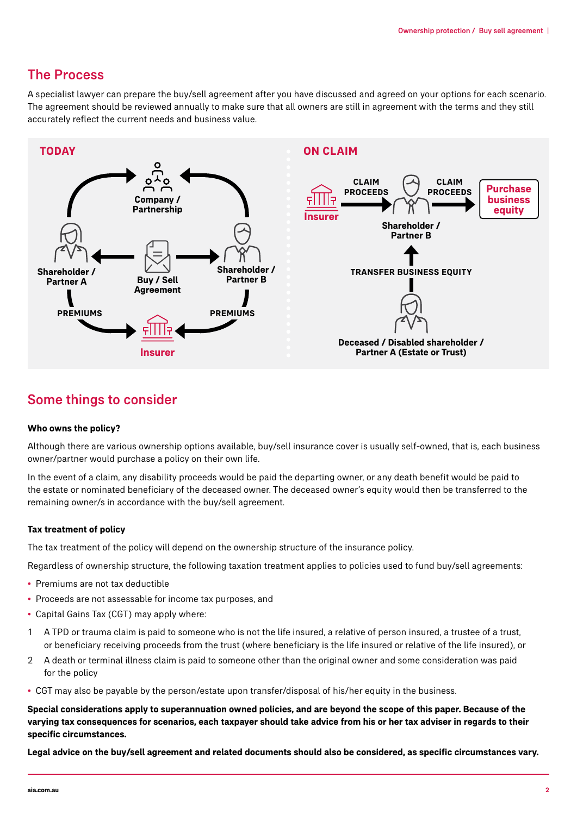### The Process

A specialist lawyer can prepare the buy/sell agreement after you have discussed and agreed on your options for each scenario. The agreement should be reviewed annually to make sure that all owners are still in agreement with the terms and they still accurately reflect the current needs and business value.



## Some things to consider

#### **Who owns the policy?**

Although there are various ownership options available, buy/sell insurance cover is usually self-owned, that is, each business owner/partner would purchase a policy on their own life.

In the event of a claim, any disability proceeds would be paid the departing owner, or any death benefit would be paid to the estate or nominated beneficiary of the deceased owner. The deceased owner's equity would then be transferred to the remaining owner/s in accordance with the buy/sell agreement.

#### **Tax treatment of policy**

The tax treatment of the policy will depend on the ownership structure of the insurance policy.

Regardless of ownership structure, the following taxation treatment applies to policies used to fund buy/sell agreements:

- Premiums are not tax deductible
- Proceeds are not assessable for income tax purposes, and
- Capital Gains Tax (CGT) may apply where:
- 1 A TPD or trauma claim is paid to someone who is not the life insured, a relative of person insured, a trustee of a trust, or beneficiary receiving proceeds from the trust (where beneficiary is the life insured or relative of the life insured), or
- 2 A death or terminal illness claim is paid to someone other than the original owner and some consideration was paid for the policy
- CGT may also be payable by the person/estate upon transfer/disposal of his/her equity in the business.

**Special considerations apply to superannuation owned policies, and are beyond the scope of this paper. Because of the varying tax consequences for scenarios, each taxpayer should take advice from his or her tax adviser in regards to their specific circumstances.**

**Legal advice on the buy/sell agreement and related documents should also be considered, as specific circumstances vary.**